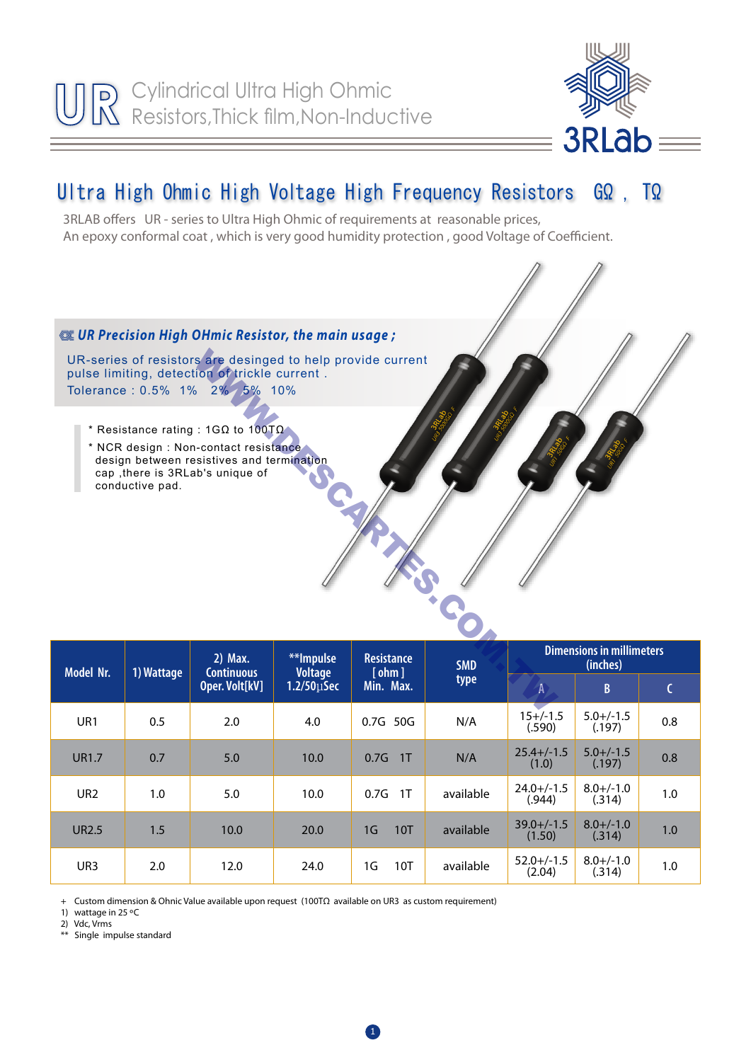

## Ultra High Ohmic High Voltage High Frequency Resistors GΩ , TΩ

3RLAB offers UR - series to Ultra High Ohmic of requirements at reasonable prices, An epoxy conformal coat , which is very good humidity protection , good Voltage of Coefficient.



| <b>Model Nr.</b> | 1) Wattage | 2) Max.<br><b>Continuous</b><br>Oper. Volt[kV] | **Impulse<br><b>Voltage</b><br>$1.2/50 \mu$ Sec | <b>Resistance</b><br>[ohm]<br>Min. Max. | <b>SMD</b><br>type | <b>Dimensions in millimeters</b><br>(inches) |                          |     |
|------------------|------------|------------------------------------------------|-------------------------------------------------|-----------------------------------------|--------------------|----------------------------------------------|--------------------------|-----|
|                  |            |                                                |                                                 |                                         |                    | $\overline{A}$                               | $\mathsf{B}$             | C   |
| UR <sub>1</sub>  | 0.5        | 2.0                                            | 4.0                                             | 0.7G 50G                                | N/A                | $15+/-1.5$<br>(.590)                         | $5.0 + (-1.5)$<br>(.197) | 0.8 |
| <b>UR1.7</b>     | 0.7        | 5.0                                            | 10.0                                            | 0.7G<br>1T                              | N/A                | $25.4 +/-1.5$<br>(1.0)                       | $5.0 + / -1.5$<br>(.197) | 0.8 |
| UR <sub>2</sub>  | 1.0        | 5.0                                            | 10.0                                            | 1T<br>0.7G                              | available          | $24.0 +/-1.5$<br>(.944)                      | $8.0 + / -1.0$<br>(.314) | 1.0 |
| <b>UR2.5</b>     | 1.5        | 10.0                                           | 20.0                                            | 1G<br>10T                               | available          | $39.0 +/-1.5$<br>(1.50)                      | $8.0 + / -1.0$<br>(.314) | 1.0 |
| UR <sub>3</sub>  | 2.0        | 12.0                                           | 24.0                                            | 1G<br>10T                               | available          | $52.0 +/-1.5$<br>(2.04)                      | $8.0 + / -1.0$<br>(.314) | 1.0 |

+ Custom dimension & Ohnic Value available upon request (100TΩ available on UR3 as custom requirement)

1) wattage in 25 ºC

2) Vdc, Vrms

\*\* Single impulse standard